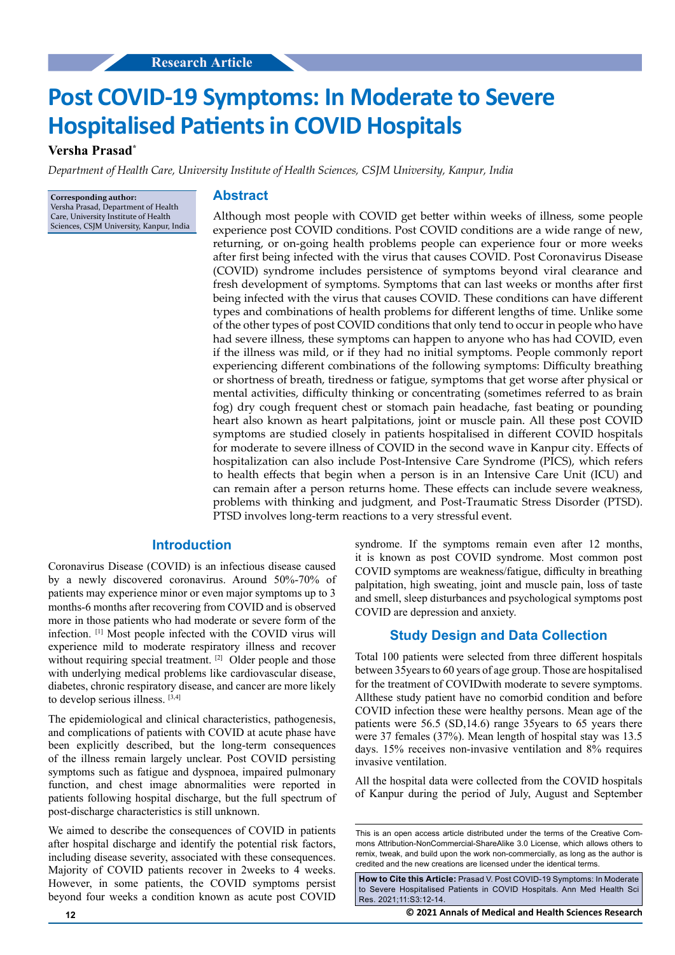# **Post COVID-19 Symptoms: In Moderate to Severe Hospitalised Patients in COVID Hospitals**

# **Versha Prasad\***

*Department of Health Care, University Institute of Health Sciences, CSJM University, Kanpur, India* 

**Corresponding author:** Versha Prasad, Department of Health Care, University Institute of Health Sciences, CSJM University, Kanpur, India

# **Abstract**

Although most people with COVID get better within weeks of illness, some people experience post COVID conditions. Post COVID conditions are a wide range of new, returning, or on-going health problems people can experience four or more weeks after first being infected with the virus that causes COVID. Post Coronavirus Disease (COVID) syndrome includes persistence of symptoms beyond viral clearance and fresh development of symptoms. Symptoms that can last weeks or months after first being infected with the virus that causes COVID. These conditions can have different types and combinations of health problems for different lengths of time. Unlike some of the other types of post COVID conditions that only tend to occur in people who have had severe illness, these symptoms can happen to anyone who has had COVID, even if the illness was mild, or if they had no initial symptoms. People commonly report experiencing different combinations of the following symptoms: Difficulty breathing or shortness of breath, tiredness or fatigue, symptoms that get worse after physical or mental activities, difficulty thinking or concentrating (sometimes referred to as brain fog) dry cough frequent chest or stomach pain headache, fast beating or pounding heart also known as heart palpitations, joint or muscle pain. All these post COVID symptoms are studied closely in patients hospitalised in different COVID hospitals for moderate to severe illness of COVID in the second wave in Kanpur city. Effects of hospitalization can also include Post-Intensive Care Syndrome (PICS), which refers to health effects that begin when a person is in an Intensive Care Unit (ICU) and can remain after a person returns home. These effects can include severe weakness, problems with thinking and judgment, and Post-Traumatic Stress Disorder (PTSD). PTSD involves long-term reactions to a very stressful event.

# **Introduction**

Coronavirus Disease (COVID) is an infectious disease caused by a newly discovered coronavirus. Around 50%-70% of patients may experience minor or even major symptoms up to 3 months-6 months after recovering from COVID and is observed more in those patients who had moderate or severe form of the infection. [1] Most people infected with the COVID virus will experience mild to moderate respiratory illness and recover without requiring special treatment. <sup>[2]</sup> Older people and those with underlying medical problems like cardiovascular disease, diabetes, chronic respiratory disease, and cancer are more likely to develop serious illness. [3,4]

The epidemiological and clinical characteristics, pathogenesis, and complications of patients with COVID at acute phase have been explicitly described, but the long-term consequences of the illness remain largely unclear. Post COVID persisting symptoms such as fatigue and dyspnoea, impaired pulmonary function, and chest image abnormalities were reported in patients following hospital discharge, but the full spectrum of post-discharge characteristics is still unknown.

We aimed to describe the consequences of COVID in patients after hospital discharge and identify the potential risk factors, including disease severity, associated with these consequences. Majority of COVID patients recover in 2weeks to 4 weeks. However, in some patients, the COVID symptoms persist beyond four weeks a condition known as acute post COVID

syndrome. If the symptoms remain even after 12 months, it is known as post COVID syndrome. Most common post COVID symptoms are weakness/fatigue, difficulty in breathing palpitation, high sweating, joint and muscle pain, loss of taste and smell, sleep disturbances and psychological symptoms post COVID are depression and anxiety.

# **Study Design and Data Collection**

Total 100 patients were selected from three different hospitals between 35years to 60 years of age group. Those are hospitalised for the treatment of COVIDwith moderate to severe symptoms. Allthese study patient have no comorbid condition and before COVID infection these were healthy persons. Mean age of the patients were 56.5 (SD,14.6) range 35years to 65 years there were 37 females (37%). Mean length of hospital stay was 13.5 days. 15% receives non-invasive ventilation and 8% requires invasive ventilation.

All the hospital data were collected from the COVID hospitals of Kanpur during the period of July, August and September

**How to Cite this Article:** Prasad V. Post COVID-19 Symptoms: In Moderate to Severe Hospitalised Patients in COVID Hospitals. Ann Med Health Sci Res. 2021;11:S3:12-14.

**12 © 2021 Annals of Medical and Health Sciences Research** 

This is an open access article distributed under the terms of the Creative Commons Attribution-NonCommercial-ShareAlike 3.0 License, which allows others to remix, tweak, and build upon the work non‑commercially, as long as the author is credited and the new creations are licensed under the identical terms.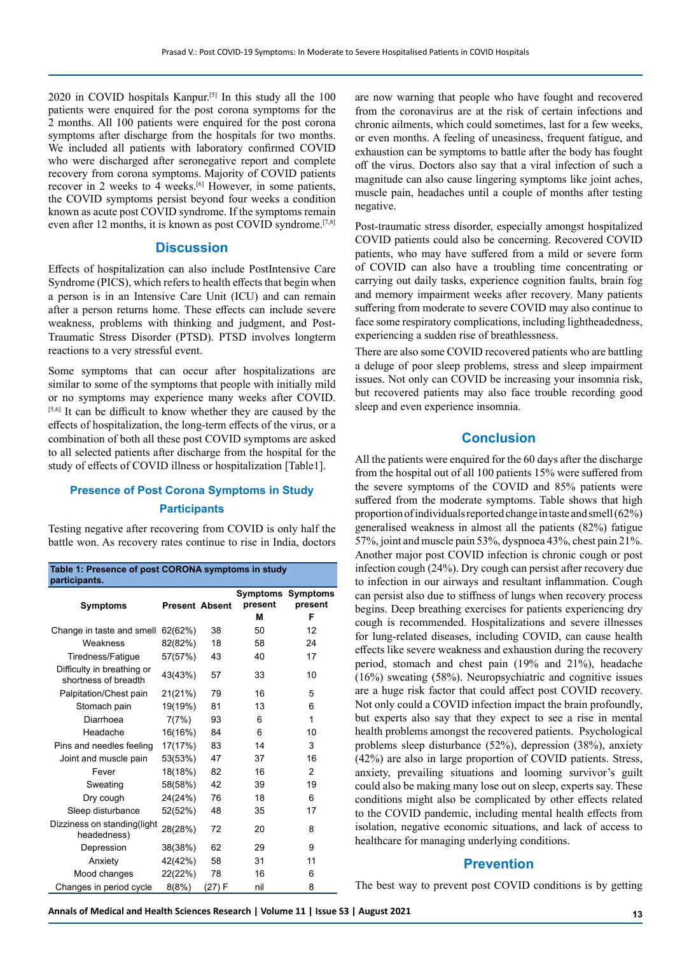2020 in COVID hospitals Kanpur.<sup>[5]</sup> In this study all the  $100$ patients were enquired for the post corona symptoms for the 2 months. All 100 patients were enquired for the post corona symptoms after discharge from the hospitals for two months. We included all patients with laboratory confirmed COVID who were discharged after seronegative report and complete recovery from corona symptoms. Majority of COVID patients recover in 2 weeks to 4 weeks.[6] However, in some patients, the COVID symptoms persist beyond four weeks a condition known as acute post COVID syndrome. If the symptoms remain even after 12 months, it is known as post COVID syndrome.<sup>[7,8]</sup>

### **Discussion**

Effects of hospitalization can also include PostIntensive Care Syndrome (PICS), which refers to health effects that begin when a person is in an Intensive Care Unit (ICU) and can remain after a person returns home. These effects can include severe weakness, problems with thinking and judgment, and Post-Traumatic Stress Disorder (PTSD). PTSD involves longterm reactions to a very stressful event.

Some symptoms that can occur after hospitalizations are similar to some of the symptoms that people with initially mild or no symptoms may experience many weeks after COVID. [5,6] It can be difficult to know whether they are caused by the effects of hospitalization, the long-term effects of the virus, or a combination of both all these post COVID symptoms are asked to all selected patients after discharge from the hospital for the study of effects of COVID illness or hospitalization [Table1].

#### **Presence of Post Corona Symptoms in Study**

#### **Participants**

Testing negative after recovering from COVID is only half the battle won. As recovery rates continue to rise in India, doctors

| Table 1: Presence of post CORONA symptoms in study<br>participants. |                       |        |                     |                            |
|---------------------------------------------------------------------|-----------------------|--------|---------------------|----------------------------|
| <b>Symptoms</b>                                                     | <b>Present Absent</b> |        | Symptoms<br>present | <b>Symptoms</b><br>present |
|                                                                     |                       |        | м                   | F                          |
| Change in taste and smell                                           | 62(62%)               | 38     | 50                  | 12                         |
| Weakness                                                            | 82(82%)               | 18     | 58                  | 24                         |
| Tiredness/Fatique                                                   | 57(57%)               | 43     | 40                  | 17                         |
| Difficulty in breathing or<br>shortness of breadth                  | 43(43%)               | 57     | 33                  | 10                         |
| Palpitation/Chest pain                                              | 21(21%)               | 79     | 16                  | 5                          |
| Stomach pain                                                        | 19(19%)               | 81     | 13                  | 6                          |
| Diarrhoea                                                           | 7(7%)                 | 93     | 6                   | 1                          |
| Headache                                                            | 16(16%)               | 84     | 6                   | 10                         |
| Pins and needles feeling                                            | 17(17%)               | 83     | 14                  | 3                          |
| Joint and muscle pain                                               | 53(53%)               | 47     | 37                  | 16                         |
| Fever                                                               | 18(18%)               | 82     | 16                  | $\overline{2}$             |
| Sweating                                                            | 58(58%)               | 42     | 39                  | 19                         |
| Dry cough                                                           | 24(24%)               | 76     | 18                  | 6                          |
| Sleep disturbance                                                   | 52(52%)               | 48     | 35                  | 17                         |
| Dizziness on standing(light<br>headedness)                          | 28(28%)               | 72     | 20                  | 8                          |
| Depression                                                          | 38(38%)               | 62     | 29                  | 9                          |
| Anxiety                                                             | 42(42%)               | 58     | 31                  | 11                         |
| Mood changes                                                        | 22(22%)               | 78     | 16                  | 6                          |
| Changes in period cycle                                             | 8(8%)                 | (27) F | nil                 | 8                          |

are now warning that people who have fought and recovered from the coronavirus are at the risk of certain infections and chronic ailments, which could sometimes, last for a few weeks, or even months. A feeling of uneasiness, frequent fatigue, and exhaustion can be symptoms to battle after the body has fought off the virus. Doctors also say that a viral infection of such a magnitude can also cause lingering symptoms like joint aches, muscle pain, headaches until a couple of months after testing negative.

Post-traumatic stress disorder, especially amongst hospitalized COVID patients could also be concerning. Recovered COVID patients, who may have suffered from a mild or severe form of COVID can also have a troubling time concentrating or carrying out daily tasks, experience cognition faults, brain fog and memory impairment weeks after recovery. Many patients suffering from moderate to severe COVID may also continue to face some respiratory complications, including lightheadedness, experiencing a sudden rise of breathlessness.

There are also some COVID recovered patients who are battling a deluge of poor sleep problems, stress and sleep impairment issues. Not only can COVID be increasing your insomnia risk, but recovered patients may also face trouble recording good sleep and even experience insomnia.

# **Conclusion**

All the patients were enquired for the 60 days after the discharge from the hospital out of all 100 patients 15% were suffered from the severe symptoms of the COVID and 85% patients were suffered from the moderate symptoms. Table shows that high proportion of individuals reported change in taste and smell (62%) generalised weakness in almost all the patients (82%) fatigue 57%, joint and muscle pain 53%, dyspnoea 43%, chest pain 21%. Another major post COVID infection is chronic cough or post infection cough (24%). Dry cough can persist after recovery due to infection in our airways and resultant inflammation. Cough can persist also due to stiffness of lungs when recovery process begins. Deep breathing exercises for patients experiencing dry cough is recommended. Hospitalizations and severe illnesses for lung-related diseases, including COVID, can cause health effects like severe weakness and exhaustion during the recovery period, stomach and chest pain (19% and 21%), headache (16%) sweating (58%). Neuropsychiatric and cognitive issues are a huge risk factor that could affect post COVID recovery. Not only could a COVID infection impact the brain profoundly, but experts also say that they expect to see a rise in mental health problems amongst the recovered patients. Psychological problems sleep disturbance (52%), depression (38%), anxiety (42%) are also in large proportion of COVID patients. Stress, anxiety, prevailing situations and looming survivor's guilt could also be making many lose out on sleep, experts say. These conditions might also be complicated by other effects related to the COVID pandemic, including mental health effects from isolation, negative economic situations, and lack of access to healthcare for managing underlying conditions.

# **Prevention**

The best way to prevent post COVID conditions is by getting